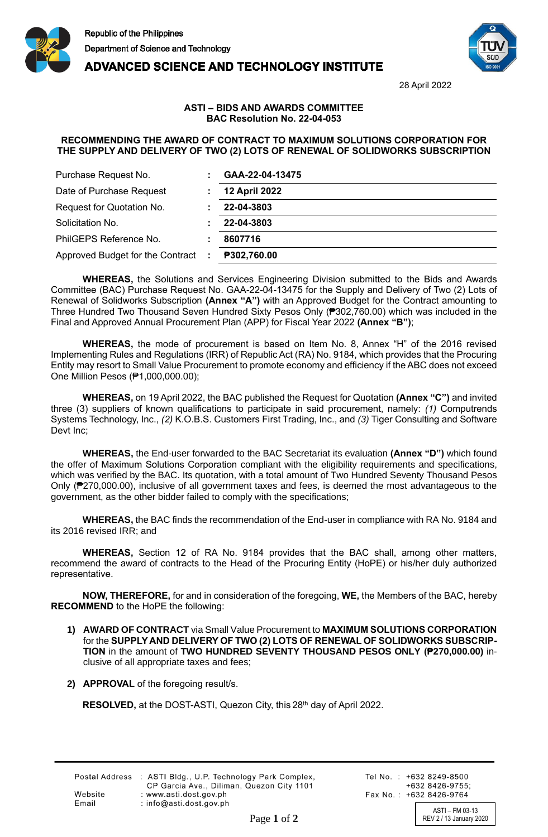





28 April 2022

## **ASTI – BIDS AND AWARDS COMMITTEE BAC Resolution No. 22-04-053**

## **RECOMMENDING THE AWARD OF CONTRACT TO MAXIMUM SOLUTIONS CORPORATION FOR THE SUPPLY AND DELIVERY OF TWO (2) LOTS OF RENEWAL OF SOLIDWORKS SUBSCRIPTION**

| Purchase Request No.             | GAA-22-04-13475      |
|----------------------------------|----------------------|
| Date of Purchase Request         | <b>12 April 2022</b> |
| Request for Quotation No.        | 22-04-3803           |
| Solicitation No.                 | 22-04-3803           |
| PhilGEPS Reference No.           | 8607716              |
| Approved Budget for the Contract | P302,760.00          |

**WHEREAS,** the Solutions and Services Engineering Division submitted to the Bids and Awards Committee (BAC) Purchase Request No. GAA-22-04-13475 for the Supply and Delivery of Two (2) Lots of Renewal of Solidworks Subscription **(Annex "A")** with an Approved Budget for the Contract amounting to Three Hundred Two Thousand Seven Hundred Sixty Pesos Only (₱302,760.00) which was included in the Final and Approved Annual Procurement Plan (APP) for Fiscal Year 2022 **(Annex "B")**;

**WHEREAS,** the mode of procurement is based on Item No. 8, Annex "H" of the 2016 revised Implementing Rules and Regulations (IRR) of Republic Act (RA) No. 9184, which provides that the Procuring Entity may resort to Small Value Procurement to promote economy and efficiency if the ABC does not exceed One Million Pesos (₱1,000,000.00);

**WHEREAS,** on 19 April 2022, the BAC published the Request for Quotation **(Annex "C")** and invited three (3) suppliers of known qualifications to participate in said procurement, namely: *(1)* Computrends Systems Technology, Inc., *(2)* K.O.B.S. Customers First Trading, Inc., and *(3)* Tiger Consulting and Software Devt Inc:

**WHEREAS,** the End-user forwarded to the BAC Secretariat its evaluation **(Annex "D")** which found the offer of Maximum Solutions Corporation compliant with the eligibility requirements and specifications, which was verified by the BAC. Its quotation, with a total amount of Two Hundred Seventy Thousand Pesos Only (₱270,000.00), inclusive of all government taxes and fees, is deemed the most advantageous to the government, as the other bidder failed to comply with the specifications;

**WHEREAS,** the BAC finds the recommendation of the End-user in compliance with RA No. 9184 and its 2016 revised IRR; and

**WHEREAS,** Section 12 of RA No. 9184 provides that the BAC shall, among other matters, recommend the award of contracts to the Head of the Procuring Entity (HoPE) or his/her duly authorized representative.

**NOW, THEREFORE,** for and in consideration of the foregoing, **WE,** the Members of the BAC, hereby **RECOMMEND** to the HoPE the following:

- **1) AWARD OF CONTRACT** via Small Value Procurement to **MAXIMUM SOLUTIONS CORPORATION**  for the **SUPPLY AND DELIVERY OF TWO (2) LOTS OF RENEWAL OF SOLIDWORKS SUBSCRIP-TION** in the amount of **TWO HUNDRED SEVENTY THOUSAND PESOS ONLY (₱270,000.00)** inclusive of all appropriate taxes and fees;
- **2) APPROVAL** of the foregoing result/s.

**RESOLVED,** at the DOST-ASTI, Quezon City, this 28<sup>th</sup> day of April 2022.